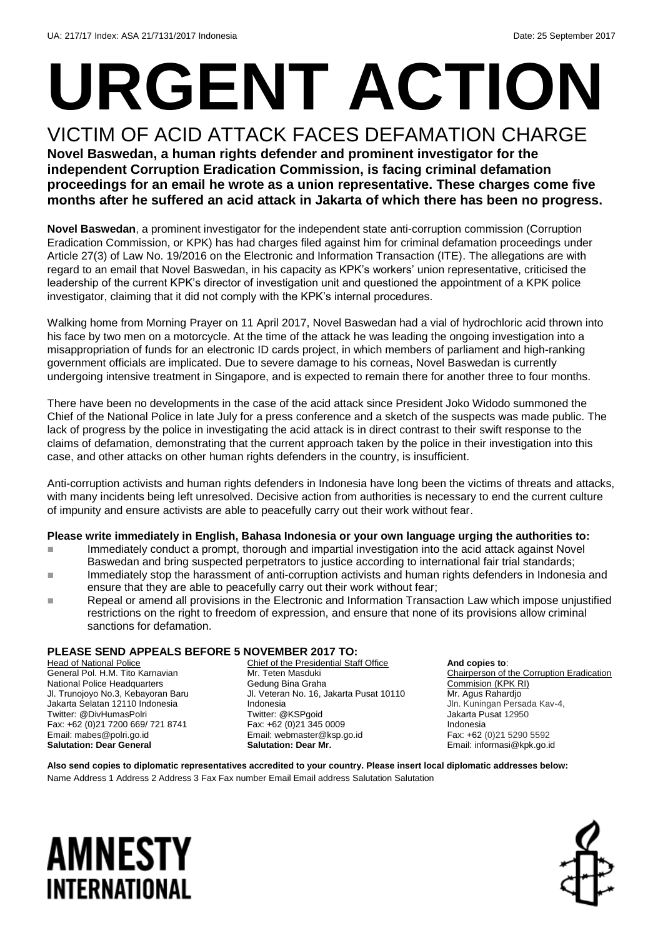# **URGENT ACTION**

VICTIM OF ACID ATTACK FACES DEFAMATION CHARGE **Novel Baswedan, a human rights defender and prominent investigator for the independent Corruption Eradication Commission, is facing criminal defamation proceedings for an email he wrote as a union representative. These charges come five months after he suffered an acid attack in Jakarta of which there has been no progress.**

**Novel Baswedan**, a prominent investigator for the independent state anti-corruption commission (Corruption Eradication Commission, or KPK) has had charges filed against him for criminal defamation proceedings under Article 27(3) of Law No. 19/2016 on the Electronic and Information Transaction (ITE). The allegations are with regard to an email that Novel Baswedan, in his capacity as KPK's workers' union representative, criticised the leadership of the current KPK's director of investigation unit and questioned the appointment of a KPK police investigator, claiming that it did not comply with the KPK's internal procedures.

Walking home from Morning Prayer on 11 April 2017, Novel Baswedan had a vial of hydrochloric acid thrown into his face by two men on a motorcycle. At the time of the attack he was leading the ongoing investigation into a misappropriation of funds for an electronic ID cards project, in which members of parliament and high-ranking government officials are implicated. Due to severe damage to his corneas, Novel Baswedan is currently undergoing intensive treatment in Singapore, and is expected to remain there for another three to four months.

There have been no developments in the case of the acid attack since President Joko Widodo summoned the Chief of the National Police in late July for a press conference and a sketch of the suspects was made public. The lack of progress by the police in investigating the acid attack is in direct contrast to their swift response to the claims of defamation, demonstrating that the current approach taken by the police in their investigation into this case, and other attacks on other human rights defenders in the country, is insufficient.

Anti-corruption activists and human rights defenders in Indonesia have long been the victims of threats and attacks, with many incidents being left unresolved. Decisive action from authorities is necessary to end the current culture of impunity and ensure activists are able to peacefully carry out their work without fear.

### **Please write immediately in English, Bahasa Indonesia or your own language urging the authorities to:**

- Immediately conduct a prompt, thorough and impartial investigation into the acid attack against Novel Baswedan and bring suspected perpetrators to justice according to international fair trial standards;
- Immediately stop the harassment of anti-corruption activists and human rights defenders in Indonesia and ensure that they are able to peacefully carry out their work without fear;
- Repeal or amend all provisions in the Electronic and Information Transaction Law which impose unjustified restrictions on the right to freedom of expression, and ensure that none of its provisions allow criminal sanctions for defamation.

### **PLEASE SEND APPEALS BEFORE 5 NOVEMBER 2017 TO:**

Head of National Police General Pol. H.M. Tito Karnavian National Police Headquarters Jl. Trunojoyo No.3, Kebayoran Baru Jakarta Selatan 12110 Indonesia Twitter: @DivHumasPolri Fax: +62 (0)21 7200 669/ 721 8741 Email: mabes@polri.go.id **Salutation: Dear General**

Chief of the Presidential Staff Office Mr. Teten Masduki Gedung Bina Graha Jl. Veteran No. 16, Jakarta Pusat 10110 Indonesia Twitter: @KSPgoid Fax: +62 (0)21 345 0009 Email: webmaster@ksp.go.id **Salutation: Dear Mr.**

**And copies to**: Chairperson of the Corruption Eradication Commision (KPK RI) Mr. Agus Rahardjo Jln. Kuningan Persada Kav-4, Jakarta Pusat 12950 Indonesia Fax: +62 (0)21 5290 5592 Email: informasi@kpk.go.id

**Also send copies to diplomatic representatives accredited to your country. Please insert local diplomatic addresses below:** Name Address 1 Address 2 Address 3 Fax Fax number Email Email address Salutation Salutation